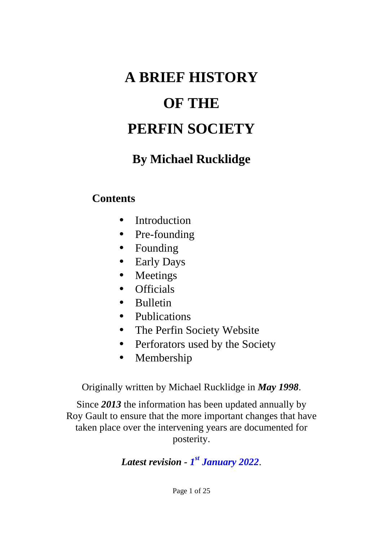# **A BRIEF HISTORY OF THE PERFIN SOCIETY**

# **By Michael Rucklidge**

## **Contents**

- Introduction  $\mathbf{r}^{\mathrm{c}}$
- Pre-founding
- Founding  $\mathbf{r}^{\mathrm{max}}$
- Early Days  $\mathbf{r}$
- Meetings  $\mathbf{r}$
- **Officials**  $\mathbf{a} = \mathbf{0}$
- Bulletin  $\mathbf{r}$
- Publications
- The Perfin Society Website  $\blacksquare$
- Perforators used by the Society  $\mathbf{r}$
- Membership  $\mathbf{r}$  .

Originally written by Michael Rucklidge in *May 1998*.

Since *2013* the information has been updated annually by Roy Gault to ensure that the more important changes that have taken place over the intervening years are documented for posterity.

#### *Latest revision - 1 st January 2022*.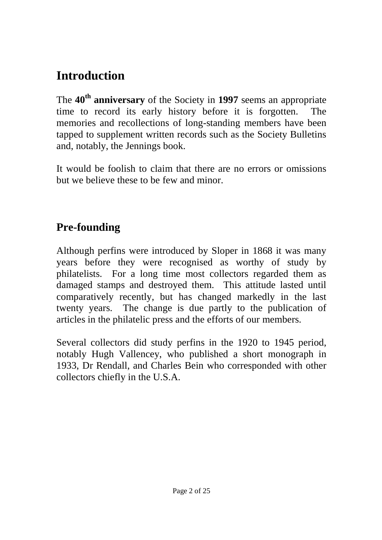# **Introduction**

The **40th anniversary** of the Society in **1997** seems an appropriate time to record its early history before it is forgotten. The memories and recollections of long-standing members have been tapped to supplement written records such as the Society Bulletins and, notably, the Jennings book.

It would be foolish to claim that there are no errors or omissions but we believe these to be few and minor.

# **Pre-founding**

Although perfins were introduced by Sloper in 1868 it was many years before they were recognised as worthy of study by philatelists. For a long time most collectors regarded them as damaged stamps and destroyed them. This attitude lasted until comparatively recently, but has changed markedly in the last twenty years. The change is due partly to the publication of articles in the philatelic press and the efforts of our members.

Several collectors did study perfins in the 1920 to 1945 period, notably Hugh Vallencey, who published a short monograph in 1933, Dr Rendall, and Charles Bein who corresponded with other collectors chiefly in the U.S.A.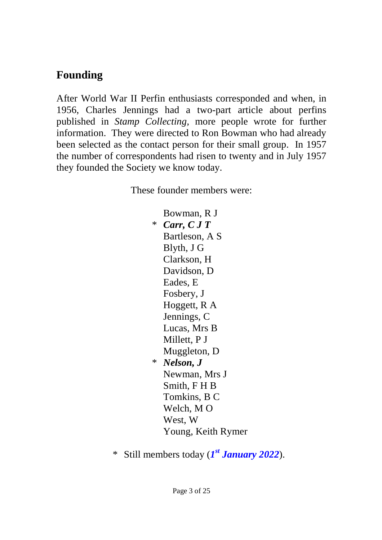# **Founding**

After World War II Perfin enthusiasts corresponded and when, in 1956, Charles Jennings had a two-part article about perfins published in *Stamp Collecting,* more people wrote for further information. They were directed to Ron Bowman who had already been selected as the contact person for their small group. In 1957 the number of correspondents had risen to twenty and in July 1957 they founded the Society we know today.

These founder members were:

Bowman, R J \* *Carr, C J T* Bartleson, A S Blyth, J G Clarkson, H Davidson, D Eades, E Fosbery, J Hoggett, R A Jennings, C Lucas, Mrs B Millett, P J Muggleton, D \* *Nelson, J* Newman, Mrs J Smith, F H B Tomkins, B C Welch, M O West, W Young, Keith Rymer

\* Still members today (*1 st January 2022*).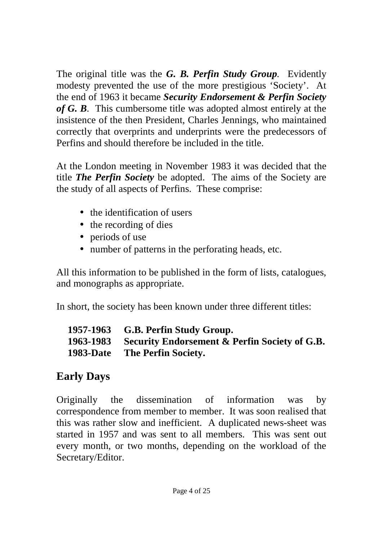The original title was the *G. B. Perfin Study Group.* Evidently modesty prevented the use of the more prestigious 'Society'. At the end of 1963 it became *Security Endorsement & Perfin Society of G. B.* This cumbersome title was adopted almost entirely at the insistence of the then President, Charles Jennings, who maintained correctly that overprints and underprints were the predecessors of Perfins and should therefore be included in the title.

At the London meeting in November 1983 it was decided that the title *The Perfin Society* be adopted. The aims of the Society are the study of all aspects of Perfins. These comprise:

- the identification of users
- the recording of dies
- periods of use
- number of patterns in the perforating heads, etc.

All this information to be published in the form of lists, catalogues, and monographs as appropriate.

In short, the society has been known under three different titles:

| 1957-1963 G.B. Perfin Study Group.                      |
|---------------------------------------------------------|
| 1963-1983 Security Endorsement & Perfin Society of G.B. |
| <b>1983-Date</b> The Perfin Society.                    |

# **Early Days**

Originally the dissemination of information was by correspondence from member to member. It was soon realised that this was rather slow and inefficient. A duplicated news-sheet was started in 1957 and was sent to all members. This was sent out every month, or two months, depending on the workload of the Secretary/Editor.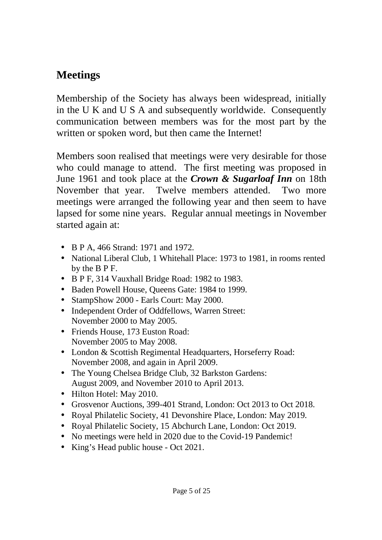## **Meetings**

Membership of the Society has always been widespread, initially in the U K and U S A and subsequently worldwide. Consequently communication between members was for the most part by the written or spoken word, but then came the Internet!

Members soon realised that meetings were very desirable for those who could manage to attend. The first meeting was proposed in June 1961 and took place at the *Crown & Sugarloaf Inn* on 18th November that year. Twelve members attended. Two more meetings were arranged the following year and then seem to have lapsed for some nine years. Regular annual meetings in November started again at:

- B P A, 466 Strand: 1971 and 1972.
- National Liberal Club, 1 Whitehall Place: 1973 to 1981, in rooms rented by the B P F.
- B P F, 314 Vauxhall Bridge Road: 1982 to 1983.
- Baden Powell House, Queens Gate: 1984 to 1999.
- StampShow 2000 Earls Court: May 2000.  $\mathbf{r}$
- Independent Order of Oddfellows, Warren Street: November 2000 to May 2005.
- Friends House, 173 Euston Road: November 2005 to May 2008.
- London & Scottish Regimental Headquarters, Horseferry Road: November 2008, and again in April 2009.
- The Young Chelsea Bridge Club, 32 Barkston Gardens: August 2009, and November 2010 to April 2013.
- Hilton Hotel: May 2010.
- Grosvenor Auctions, 399-401 Strand, London: Oct 2013 to Oct 2018.
- Royal Philatelic Society, 41 Devonshire Place, London: May 2019.  $\mathbf{r}$
- Royal Philatelic Society, 15 Abchurch Lane, London: Oct 2019.  $\mathbf{r}$
- No meetings were held in 2020 due to the Covid-19 Pandemic!
- King's Head public house Oct 2021.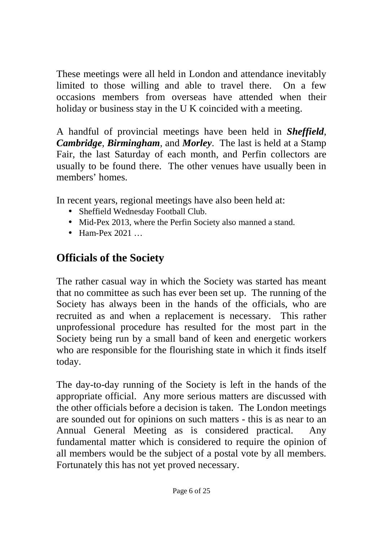These meetings were all held in London and attendance inevitably limited to those willing and able to travel there. On a few occasions members from overseas have attended when their holiday or business stay in the U K coincided with a meeting.

A handful of provincial meetings have been held in *Sheffield*, *Cambridge*, *Birmingham*, and *Morley*. The last is held at a Stamp Fair, the last Saturday of each month, and Perfin collectors are usually to be found there. The other venues have usually been in members' homes.

In recent years, regional meetings have also been held at:

- Sheffield Wednesday Football Club.
- Mid-Pex 2013, where the Perfin Society also manned a stand.
- Ham-Pex 2021 …

# **Officials of the Society**

The rather casual way in which the Society was started has meant that no committee as such has ever been set up. The running of the Society has always been in the hands of the officials, who are recruited as and when a replacement is necessary. This rather unprofessional procedure has resulted for the most part in the Society being run by a small band of keen and energetic workers who are responsible for the flourishing state in which it finds itself today.

The day-to-day running of the Society is left in the hands of the appropriate official. Any more serious matters are discussed with the other officials before a decision is taken. The London meetings are sounded out for opinions on such matters - this is as near to an Annual General Meeting as is considered practical. Any fundamental matter which is considered to require the opinion of all members would be the subject of a postal vote by all members. Fortunately this has not yet proved necessary.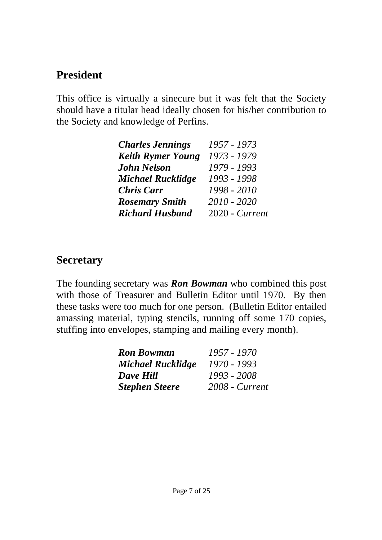# **President**

This office is virtually a sinecure but it was felt that the Society should have a titular head ideally chosen for his/her contribution to the Society and knowledge of Perfins.

| <b>Charles Jennings</b>  | 1957 - 1973    |
|--------------------------|----------------|
| <b>Keith Rymer Young</b> | 1973 - 1979    |
| <b>John Nelson</b>       | 1979 - 1993    |
| <b>Michael Rucklidge</b> | 1993 - 1998    |
| <b>Chris Carr</b>        | 1998 - 2010    |
| <b>Rosemary Smith</b>    | 2010 - 2020    |
| <b>Richard Husband</b>   | 2020 - Current |

## **Secretary**

The founding secretary was *Ron Bowman* who combined this post with those of Treasurer and Bulletin Editor until 1970. By then these tasks were too much for one person. (Bulletin Editor entailed amassing material, typing stencils, running off some 170 copies, stuffing into envelopes, stamping and mailing every month).

| <b>Ron Bowman</b>        | 1957 - 1970    |
|--------------------------|----------------|
| <b>Michael Rucklidge</b> | 1970 - 1993    |
| Dave Hill                | 1993 - 2008    |
| <b>Stephen Steere</b>    | 2008 - Current |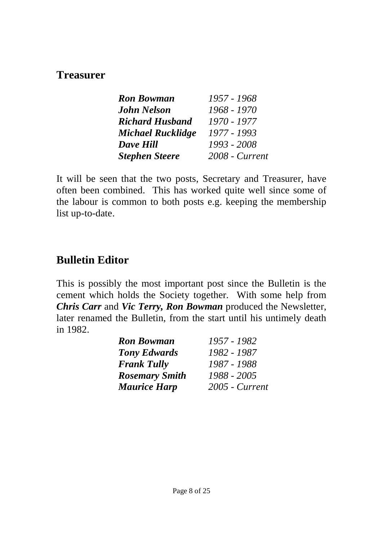#### **Treasurer**

| <b>Ron Bowman</b>        | 1957 - 1968    |
|--------------------------|----------------|
| <b>John Nelson</b>       | 1968 - 1970    |
| <b>Richard Husband</b>   | 1970 - 1977    |
| <b>Michael Rucklidge</b> | 1977 - 1993    |
| <b>Dave Hill</b>         | 1993 - 2008    |
| <b>Stephen Steere</b>    | 2008 - Current |

It will be seen that the two posts, Secretary and Treasurer, have often been combined. This has worked quite well since some of the labour is common to both posts e.g. keeping the membership list up-to-date.

# **Bulletin Editor**

This is possibly the most important post since the Bulletin is the cement which holds the Society together. With some help from *Chris Carr* and *Vic Terry, Ron Bowman* produced the Newsletter, later renamed the Bulletin, from the start until his untimely death in 1982.

| <b>Ron Bowman</b>     | 1957 - 1982    |
|-----------------------|----------------|
| <b>Tony Edwards</b>   | 1982 - 1987    |
| <b>Frank Tully</b>    | 1987 - 1988    |
| <b>Rosemary Smith</b> | 1988 - 2005    |
| <b>Maurice Harp</b>   | 2005 - Current |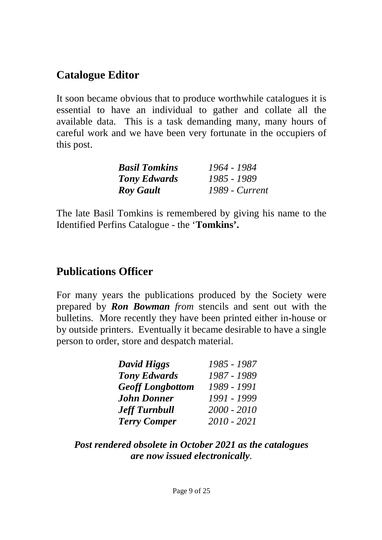# **Catalogue Editor**

It soon became obvious that to produce worthwhile catalogues it is essential to have an individual to gather and collate all the available data. This is a task demanding many, many hours of careful work and we have been very fortunate in the occupiers of this post.

| <b>Basil Tomkins</b> | 1964 - 1984    |
|----------------------|----------------|
| <b>Tony Edwards</b>  | 1985 - 1989    |
| <b>Roy Gault</b>     | 1989 - Current |

The late Basil Tomkins is remembered by giving his name to the Identified Perfins Catalogue - the '**Tomkins'.** 

#### **Publications Officer**

For many years the publications produced by the Society were prepared by *Ron Bowman from* stencils and sent out with the bulletins. More recently they have been printed either in-house or by outside printers. Eventually it became desirable to have a single person to order, store and despatch material.

| <b>David Higgs</b>      | 1985 - 1987 |
|-------------------------|-------------|
| <b>Tony Edwards</b>     | 1987 - 1989 |
| <b>Geoff Longbottom</b> | 1989 - 1991 |
| <b>John Donner</b>      | 1991 - 1999 |
| <b>Jeff Turnbull</b>    | 2000 - 2010 |
| <b>Terry Comper</b>     | 2010 - 2021 |

*Post rendered obsolete in October 2021 as the catalogues are now issued electronically.*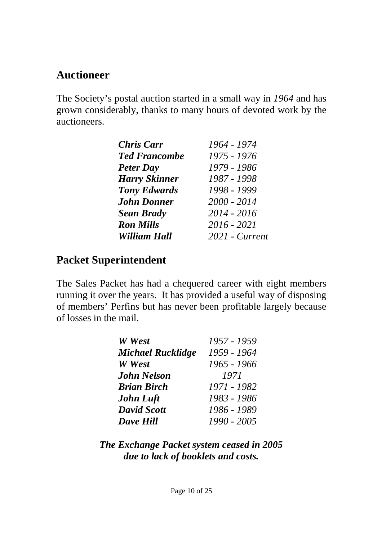#### **Auctioneer**

The Society's postal auction started in a small way in *1964* and has grown considerably, thanks to many hours of devoted work by the auctioneers.

| <b>Chris Carr</b>    | 1964 - 1974    |
|----------------------|----------------|
| <b>Ted Francombe</b> | 1975 - 1976    |
| <b>Peter Day</b>     | 1979 - 1986    |
| <b>Harry Skinner</b> | 1987 - 1998    |
| <b>Tony Edwards</b>  | 1998 - 1999    |
| <b>John Donner</b>   | $2000 - 2014$  |
| <b>Sean Brady</b>    | $2014 - 2016$  |
| <b>Ron Mills</b>     | 2016 - 2021    |
| <b>William Hall</b>  | 2021 - Current |

# **Packet Superintendent**

The Sales Packet has had a chequered career with eight members running it over the years. It has provided a useful way of disposing of members' Perfins but has never been profitable largely because of losses in the mail.

| W West                   | 1957 - 1959 |
|--------------------------|-------------|
| <b>Michael Rucklidge</b> | 1959 - 1964 |
| W West                   | 1965 - 1966 |
| <b>John Nelson</b>       | 1971        |
| <b>Brian Birch</b>       | 1971 - 1982 |
| <b>John Luft</b>         | 1983 - 1986 |
| <b>David Scott</b>       | 1986 - 1989 |
| <b>Dave Hill</b>         | 1990 - 2005 |

*The Exchange Packet system ceased in 2005 due to lack of booklets and costs.*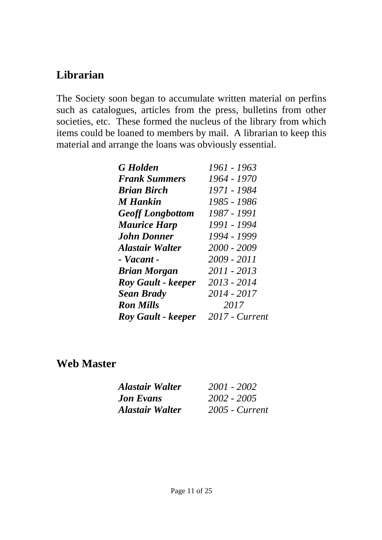# **Librarian**

The Society soon began to accumulate written material on perfins such as catalogues, articles from the press, bulletins from other societies, etc. These formed the nucleus of the library from which items could be loaned to members by mail. A librarian to keep this material and arrange the loans was obviously essential.

| <b>G</b> Holden           | 1961 - 1963    |
|---------------------------|----------------|
| <b>Frank Summers</b>      | 1964 - 1970    |
| <b>Brian Birch</b>        | 1971 - 1984    |
| <b>M</b> Hankin           | 1985 - 1986    |
| <b>Geoff Longbottom</b>   | 1987 - 1991    |
| <b>Maurice Harp</b>       | 1991 - 1994    |
| <b>John Donner</b>        | 1994 - 1999    |
| <b>Alastair Walter</b>    | 2000 - 2009    |
| - Vacant -                | 2009 - 2011    |
| <b>Brian Morgan</b>       | 2011 - 2013    |
| <b>Roy Gault - keeper</b> | 2013 - 2014    |
| <b>Sean Brady</b>         | 2014 - 2017    |
| <b>Ron Mills</b>          | 2017           |
| <b>Roy Gault - keeper</b> | 2017 - Current |

#### **Web Master**

| <b>Alastair Walter</b> | 2001 - 2002      |
|------------------------|------------------|
| <b>Jon Evans</b>       | 2002 - 2005      |
| <b>Alastair Walter</b> | $2005$ - Current |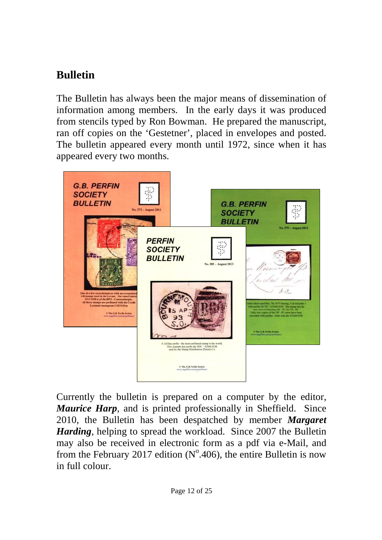# **Bulletin**

The Bulletin has always been the major means of dissemination of information among members. In the early days it was produced from stencils typed by Ron Bowman. He prepared the manuscript, ran off copies on the 'Gestetner', placed in envelopes and posted. The bulletin appeared every month until 1972, since when it has appeared every two months.



Currently the bulletin is prepared on a computer by the editor, *Maurice Harp*, and is printed professionally in Sheffield. Since 2010, the Bulletin has been despatched by member *Margaret Harding*, helping to spread the workload. Since 2007 the Bulletin may also be received in electronic form as a pdf via e-Mail, and from the February 2017 edition  $(N^{\circ}.406)$ , the entire Bulletin is now in full colour.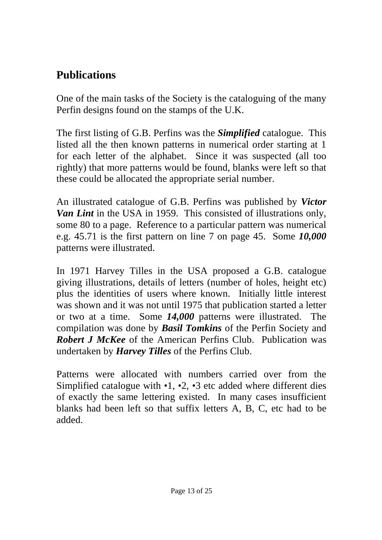# **Publications**

One of the main tasks of the Society is the cataloguing of the many Perfin designs found on the stamps of the U.K.

The first listing of G.B. Perfins was the *Simplified* catalogue. This listed all the then known patterns in numerical order starting at 1 for each letter of the alphabet. Since it was suspected (all too rightly) that more patterns would be found, blanks were left so that these could be allocated the appropriate serial number.

An illustrated catalogue of G.B. Perfins was published by *Victor Van Lint* in the USA in 1959. This consisted of illustrations only, some 80 to a page. Reference to a particular pattern was numerical e.g. 45.71 is the first pattern on line 7 on page 45. Some *10,000* patterns were illustrated.

In 1971 Harvey Tilles in the USA proposed a G.B. catalogue giving illustrations, details of letters (number of holes, height etc) plus the identities of users where known. Initially little interest was shown and it was not until 1975 that publication started a letter or two at a time. Some *14,000* patterns were illustrated. The compilation was done by *Basil Tomkins* of the Perfin Society and *Robert J McKee* of the American Perfins Club. Publication was undertaken by *Harvey Tilles* of the Perfins Club.

Patterns were allocated with numbers carried over from the Simplified catalogue with  $\cdot$ 1,  $\cdot$ 2,  $\cdot$ 3 etc added where different dies of exactly the same lettering existed. In many cases insufficient blanks had been left so that suffix letters A, B, C, etc had to be added.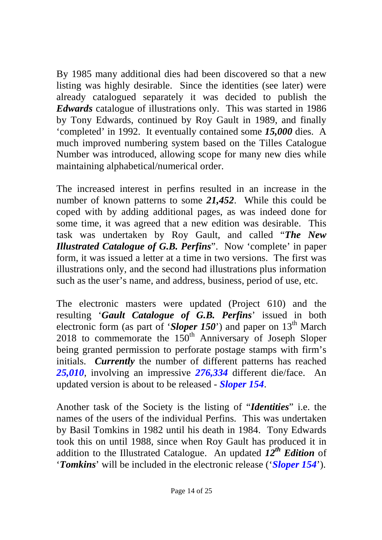By 1985 many additional dies had been discovered so that a new listing was highly desirable. Since the identities (see later) were already catalogued separately it was decided to publish the *Edwards* catalogue of illustrations only. This was started in 1986 by Tony Edwards, continued by Roy Gault in 1989, and finally 'completed' in 1992. It eventually contained some *15,000* dies. A much improved numbering system based on the Tilles Catalogue Number was introduced, allowing scope for many new dies while maintaining alphabetical/numerical order.

The increased interest in perfins resulted in an increase in the number of known patterns to some *21,452*. While this could be coped with by adding additional pages, as was indeed done for some time, it was agreed that a new edition was desirable. This task was undertaken by Roy Gault, and called "*The New Illustrated Catalogue of G.B. Perfins*". Now 'complete' in paper form, it was issued a letter at a time in two versions. The first was illustrations only, and the second had illustrations plus information such as the user's name, and address, business, period of use, etc.

The electronic masters were updated (Project 610) and the resulting '*Gault Catalogue of G.B. Perfins*' issued in both electronic form (as part of '*Sloper* 150') and paper on 13<sup>th</sup> March 2018 to commemorate the  $150<sup>th</sup>$  Anniversary of Joseph Sloper being granted permission to perforate postage stamps with firm's initials. *Currently* the number of different patterns has reached *25,010*, involving an impressive *276,334* different die/face. An updated version is about to be released - *Sloper 154*.

Another task of the Society is the listing of "*Identities*" i.e. the names of the users of the individual Perfins. This was undertaken by Basil Tomkins in 1982 until his death in 1984. Tony Edwards took this on until 1988, since when Roy Gault has produced it in addition to the Illustrated Catalogue. An updated *12th Edition* of '*Tomkins*' will be included in the electronic release ('*Sloper 154*').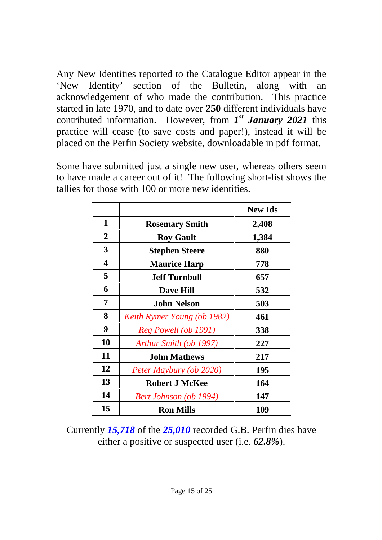Any New Identities reported to the Catalogue Editor appear in the 'New Identity' section of the Bulletin, along with an acknowledgement of who made the contribution. This practice started in late 1970, and to date over **250** different individuals have contributed information. However, from *1 st January 2021* this practice will cease (to save costs and paper!), instead it will be placed on the Perfin Society website, downloadable in pdf format.

Some have submitted just a single new user, whereas others seem to have made a career out of it! The following short-list shows the tallies for those with 100 or more new identities.

|                         |                             | <b>New Ids</b> |
|-------------------------|-----------------------------|----------------|
| $\mathbf 1$             | <b>Rosemary Smith</b>       | 2,408          |
| $\overline{2}$          | <b>Roy Gault</b>            | 1,384          |
| $\mathbf{3}$            | <b>Stephen Steere</b>       | 880            |
| $\overline{\mathbf{4}}$ | <b>Maurice Harp</b>         | 778            |
| 5                       | <b>Jeff Turnbull</b>        | 657            |
| 6                       | <b>Dave Hill</b>            | 532            |
| $\overline{7}$          | <b>John Nelson</b>          | 503            |
| 8                       | Keith Rymer Young (ob 1982) | 461            |
| 9                       | Reg Powell (ob 1991)        | 338            |
| 10                      | Arthur Smith (ob 1997)      | 227            |
| 11                      | <b>John Mathews</b>         | 217            |
| 12                      | Peter Maybury (ob 2020)     | 195            |
| 13                      | <b>Robert J McKee</b>       | 164            |
| 14                      | Bert Johnson (ob 1994)      | 147            |
| 15                      | <b>Ron Mills</b>            | 109            |

Currently *15,718* of the *25,010* recorded G.B. Perfin dies have either a positive or suspected user (i.e. *62.8%*).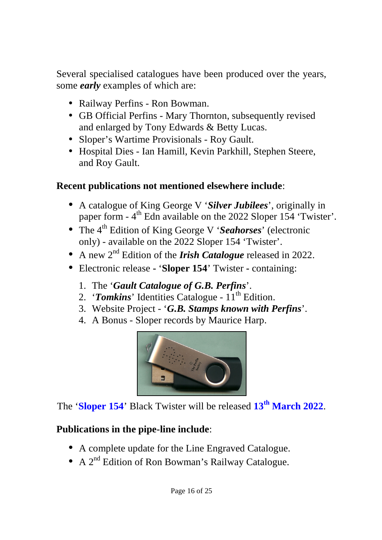Several specialised catalogues have been produced over the years, some *early* examples of which are:

- Railway Perfins Ron Bowman.
- GB Official Perfins Mary Thornton, subsequently revised and enlarged by Tony Edwards & Betty Lucas.
- Sloper's Wartime Provisionals Roy Gault.
- Hospital Dies Ian Hamill, Kevin Parkhill, Stephen Steere, and Roy Gault.

#### **Recent publications not mentioned elsewhere include**:

- A catalogue of King George V '*Silver Jubilees*', originally in paper form - 4<sup>th</sup> Edn available on the 2022 Sloper 154 'Twister'.
- The 4th Edition of King George V '*Seahorses*' (electronic only) - available on the 2022 Sloper 154 'Twister'.
- A new 2nd Edition of the *Irish Catalogue* released in 2022.
- Electronic release '**Sloper 154**' Twister **-** containing:
	- 1. The '*Gault Catalogue of G.B. Perfins*'.
	- 2. '**Tomkins**' Identities Catalogue 11<sup>th</sup> Edition.
	- 3. Website Project '*G.B. Stamps known with Perfins*'.
	- 4. A Bonus Sloper records by Maurice Harp.



The '**Sloper 154**' Black Twister will be released **13th March 2022**.

#### **Publications in the pipe-line include**:

- A complete update for the Line Engraved Catalogue.
- $\cdot$  A 2<sup>nd</sup> Edition of Ron Bowman's Railway Catalogue.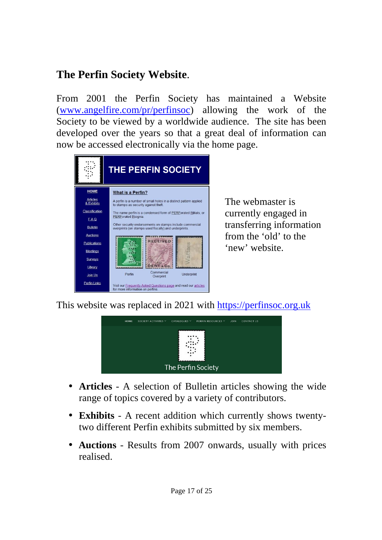# **The Perfin Society Website**.

From 2001 the Perfin Society has maintained a Website [\(www.angelfire.com/pr/perfinsoc](http://www.angelfire.com/pr/perfinsoc)) allowing the work of the Society to be viewed by a worldwide audience. The site has been developed over the years so that a great deal of information can now be accessed electronically via the home page.



The webmaster is currently engaged in transferring information from the 'old' to the 'new' website.

This website was replaced in 2021 with<https://perfinsoc.org.uk>



- $\blacksquare$ **Articles** - A selection of Bulletin articles showing the wide range of topics covered by a variety of contributors.
- **Exhibits** A recent addition which currently shows twentytwo different Perfin exhibits submitted by six members.
- **Auctions** Results from 2007 onwards, usually with prices realised.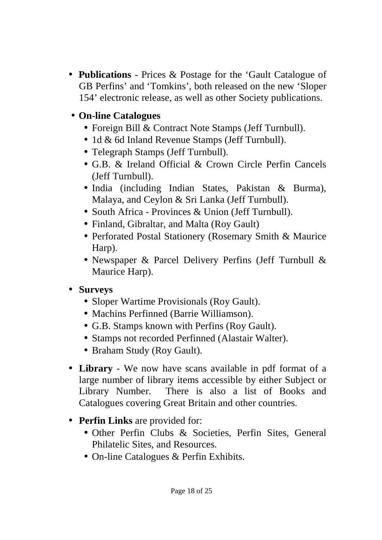**Publications** - Prices & Postage for the 'Gault Catalogue of GB Perfins' and 'Tomkins', both released on the new 'Sloper 154' electronic release, as well as other Society publications.

#### **On-line Catalogues**

- Foreign Bill & Contract Note Stamps (Jeff Turnbull).
- 1d & 6d Inland Revenue Stamps (Jeff Turnbull).
- Telegraph Stamps (Jeff Turnbull).
- G.B. & Ireland Official & Crown Circle Perfin Cancels (Jeff Turnbull).
- India (including Indian States, Pakistan & Burma), Malaya, and Ceylon & Sri Lanka (Jeff Turnbull).
- South Africa Provinces & Union (Jeff Turnbull).
- Finland, Gibraltar, and Malta (Roy Gault)
- Perforated Postal Stationery (Rosemary Smith & Maurice Harp).
- Newspaper & Parcel Delivery Perfins (Jeff Turnbull & Maurice Harp).

#### **Surveys**

- Sloper Wartime Provisionals (Roy Gault).
- Machins Perfinned (Barrie Williamson).
- G.B. Stamps known with Perfins (Roy Gault).
- Stamps not recorded Perfinned (Alastair Walter).
- Braham Study (Roy Gault).
- **Library** We now have scans available in pdf format of a large number of library items accessible by either Subject or Library Number. There is also a list of Books and Catalogues covering Great Britain and other countries.
- **Perfin Links** are provided for:
	- Other Perfin Clubs & Societies, Perfin Sites, General Philatelic Sites, and Resources.
	- On-line Catalogues & Perfin Exhibits.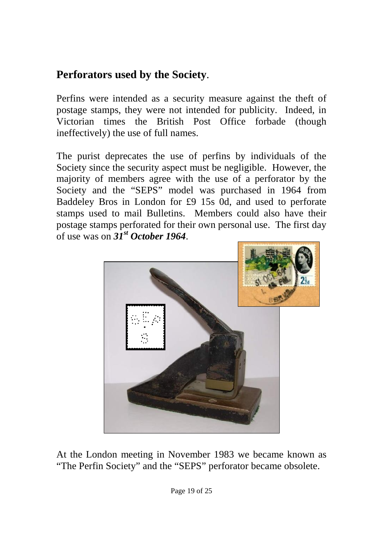# **Perforators used by the Society**.

Perfins were intended as a security measure against the theft of postage stamps, they were not intended for publicity. Indeed, in Victorian times the British Post Office forbade (though ineffectively) the use of full names.

The purist deprecates the use of perfins by individuals of the Society since the security aspect must be negligible. However, the majority of members agree with the use of a perforator by the Society and the "SEPS" model was purchased in 1964 from Baddeley Bros in London for £9 15s 0d, and used to perforate stamps used to mail Bulletins. Members could also have their postage stamps perforated for their own personal use. The first day of use was on *31st October 1964*.



At the London meeting in November 1983 we became known as "The Perfin Society" and the "SEPS" perforator became obsolete.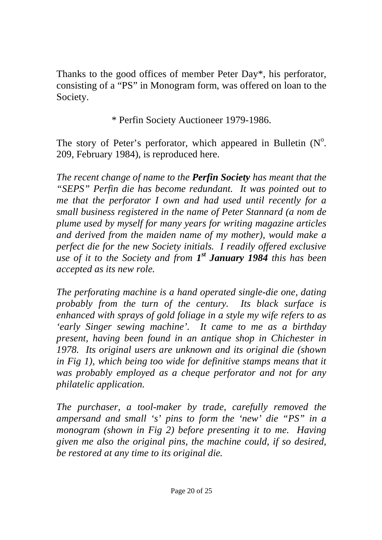Thanks to the good offices of member Peter Day\*, his perforator, consisting of a "PS" in Monogram form, was offered on loan to the Society.

\* Perfin Society Auctioneer 1979-1986.

The story of Peter's perforator, which appeared in Bulletin  $(N^{\circ})$ . 209, February 1984), is reproduced here.

*The recent change of name to the Perfin Society has meant that the "SEPS" Perfin die has become redundant. It was pointed out to me that the perforator I own and had used until recently for a small business registered in the name of Peter Stannard (a nom de plume used by myself for many years for writing magazine articles and derived from the maiden name of my mother), would make a perfect die for the new Society initials. I readily offered exclusive use of it to the Society and from 1 st January 1984 this has been accepted as its new role.* 

*The perforating machine is a hand operated single-die one, dating probably from the turn of the century. Its black surface is enhanced with sprays of gold foliage in a style my wife refers to as 'early Singer sewing machine'. It came to me as a birthday present, having been found in an antique shop in Chichester in 1978. Its original users are unknown and its original die (shown in Fig 1), which being too wide for definitive stamps means that it was probably employed as a cheque perforator and not for any philatelic application.* 

*The purchaser, a tool-maker by trade, carefully removed the ampersand and small 's' pins to form the 'new' die "PS" in a monogram (shown in Fig 2) before presenting it to me. Having given me also the original pins, the machine could, if so desired, be restored at any time to its original die.*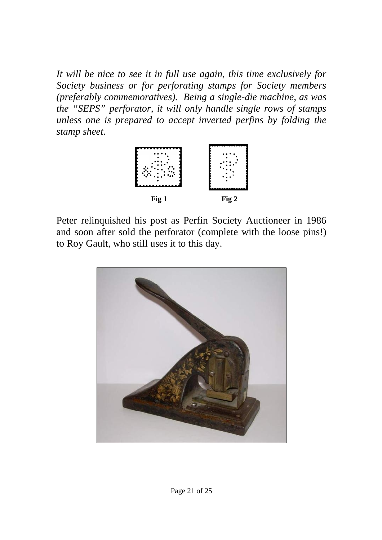*It will be nice to see it in full use again, this time exclusively for Society business or for perforating stamps for Society members (preferably commemoratives). Being a single-die machine, as was the "SEPS" perforator, it will only handle single rows of stamps unless one is prepared to accept inverted perfins by folding the stamp sheet.* 



Peter relinquished his post as Perfin Society Auctioneer in 1986 and soon after sold the perforator (complete with the loose pins!) to Roy Gault, who still uses it to this day.

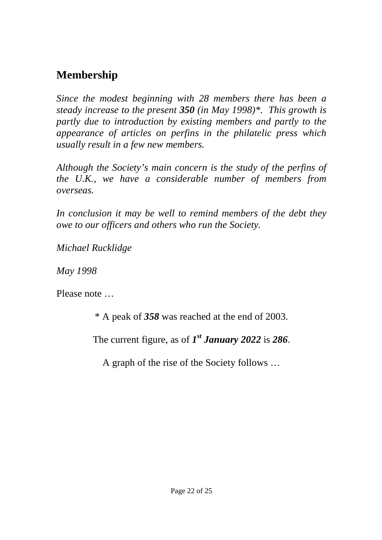# **Membership**

*Since the modest beginning with 28 members there has been a steady increase to the present 350 (in May 1998)\*. This growth is partly due to introduction by existing members and partly to the appearance of articles on perfins in the philatelic press which usually result in a few new members.* 

*Although the Society's main concern is the study of the perfins of the U.K., we have a considerable number of members from overseas.* 

*In conclusion it may be well to remind members of the debt they owe to our officers and others who run the Society.* 

*Michael Rucklidge* 

*May 1998* 

Please note …

\* A peak of *358* was reached at the end of 2003.

The current figure, as of *1 st January 2022* is *286*.

A graph of the rise of the Society follows …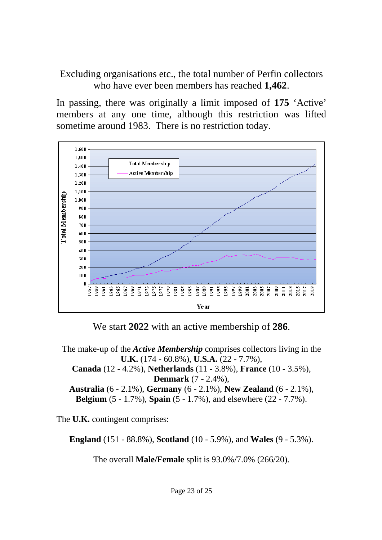Excluding organisations etc., the total number of Perfin collectors who have ever been members has reached **1,462**.

In passing, there was originally a limit imposed of **175** 'Active' members at any one time, although this restriction was lifted sometime around 1983. There is no restriction today.



We start **2022** with an active membership of **286**.

The make-up of the *Active Membership* comprises collectors living in the **U.K.** (174 - 60.8%), **U.S.A.** (22 - 7.7%), **Canada** (12 - 4.2%), **Netherlands** (11 - 3.8%), **France** (10 - 3.5%), **Denmark** (7 - 2.4%), **Australia** (6 - 2.1%), **Germany** (6 - 2.1%), **New Zealand** (6 - 2.1%), **Belgium** (5 - 1.7%), **Spain** (5 - 1.7%), and elsewhere (22 - 7.7%).

The **U.K.** contingent comprises:

**England** (151 - 88.8%), **Scotland** (10 - 5.9%), and **Wales** (9 - 5.3%).

The overall **Male/Female** split is 93.0%/7.0% (266/20).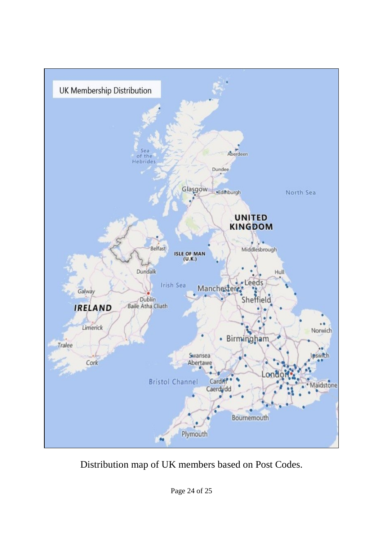

Distribution map of UK members based on Post Codes.